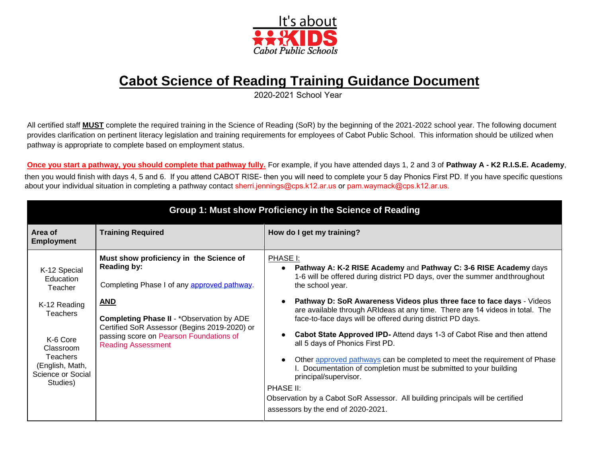

# **Cabot Science of Reading Training Guidance Document**

2020-2021 School Year

All certified staff **MUST** complete the required training in the Science of Reading (SoR) by the beginning of the 2021-2022 school year. The following document provides clarification on pertinent literacy legislation and training requirements for employees of Cabot Public School. This information should be utilized when pathway is appropriate to complete based on employment status.

**Once you start a pathway, you should complete that pathway fully.** For example, if you have attended days 1, 2 and 3 of **Pathway A - K2 R.I.S.E. Academy**, then you would finish with days 4, 5 and 6. If you attend CABOT RISE- then you will need to complete your 5 day Phonics First PD. If you have specific questions [about your individual situation](mailto:Sherry.Chambers@lrsd.org) in completing a pathway contact [sherri.jennings@cps.k12.ar.us or](mailto:sherri.jennings@cps.k12.ar.us) pam.waymack[@cps.k12.ar.us.](mailto:pam.waymack@cps.k12.ar.us.Group)

| Group 1: Must show Proficiency in the Science of Reading                                                                                                                |                                                                                                                                                                                                                                                                                                        |                                                                                                                                                                                                                                                                                                                                                                                                                                                                                                                                                                                                                                                                                                                                                                                                                                      |  |
|-------------------------------------------------------------------------------------------------------------------------------------------------------------------------|--------------------------------------------------------------------------------------------------------------------------------------------------------------------------------------------------------------------------------------------------------------------------------------------------------|--------------------------------------------------------------------------------------------------------------------------------------------------------------------------------------------------------------------------------------------------------------------------------------------------------------------------------------------------------------------------------------------------------------------------------------------------------------------------------------------------------------------------------------------------------------------------------------------------------------------------------------------------------------------------------------------------------------------------------------------------------------------------------------------------------------------------------------|--|
| Area of<br><b>Employment</b>                                                                                                                                            | <b>Training Required</b>                                                                                                                                                                                                                                                                               | How do I get my training?                                                                                                                                                                                                                                                                                                                                                                                                                                                                                                                                                                                                                                                                                                                                                                                                            |  |
| K-12 Special<br>Education<br>Teacher<br>K-12 Reading<br><b>Teachers</b><br>K-6 Core<br>Classroom<br><b>Teachers</b><br>(English, Math,<br>Science or Social<br>Studies) | Must show proficiency in the Science of<br><b>Reading by:</b><br>Completing Phase I of any approved pathway.<br><b>AND</b><br><b>Completing Phase II - *Observation by ADE</b><br>Certified SoR Assessor (Begins 2019-2020) or<br>passing score on Pearson Foundations of<br><b>Reading Assessment</b> | PHASE I:<br>Pathway A: K-2 RISE Academy and Pathway C: 3-6 RISE Academy days<br>1-6 will be offered during district PD days, over the summer and throughout<br>the school year.<br>Pathway D: SoR Awareness Videos plus three face to face days - Videos<br>are available through ARIdeas at any time. There are 14 videos in total. The<br>face-to-face days will be offered during district PD days.<br>Cabot State Approved IPD- Attend days 1-3 of Cabot Rise and then attend<br>all 5 days of Phonics First PD.<br>Other approved pathways can be completed to meet the requirement of Phase<br>I. Documentation of completion must be submitted to your building<br>principal/supervisor.<br>PHASE II:<br>Observation by a Cabot SoR Assessor. All building principals will be certified<br>assessors by the end of 2020-2021. |  |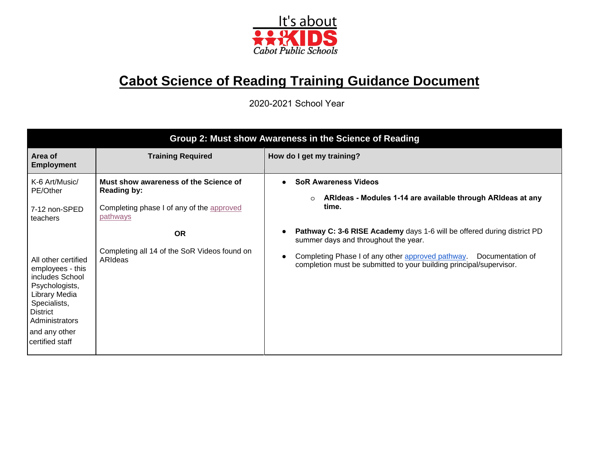

# **Cabot Science of Reading Training Guidance Document**

2020-2021 School Year

| Group 2: Must show Awareness in the Science of Reading                                                                                                                                 |                                                             |                                                                                                                                              |  |
|----------------------------------------------------------------------------------------------------------------------------------------------------------------------------------------|-------------------------------------------------------------|----------------------------------------------------------------------------------------------------------------------------------------------|--|
| Area of<br><b>Employment</b>                                                                                                                                                           | <b>Training Required</b>                                    | How do I get my training?                                                                                                                    |  |
| K-6 Art/Music/<br>PE/Other                                                                                                                                                             | Must show awareness of the Science of<br><b>Reading by:</b> | <b>SoR Awareness Videos</b><br>ARIdeas - Modules 1-14 are available through ARIdeas at any<br>$\circ$                                        |  |
| 7-12 non-SPED<br>teachers                                                                                                                                                              | Completing phase I of any of the approved<br>pathways       | time.                                                                                                                                        |  |
|                                                                                                                                                                                        | <b>OR</b>                                                   | <b>Pathway C: 3-6 RISE Academy days 1-6 will be offered during district PD</b><br>summer days and throughout the year.                       |  |
| All other certified<br>employees - this<br>includes School<br>Psychologists,<br>Library Media<br>Specialists,<br><b>District</b><br>Administrators<br>and any other<br>certified staff | Completing all 14 of the SoR Videos found on<br>ARIdeas     | Completing Phase I of any other approved pathway.<br>Documentation of<br>completion must be submitted to your building principal/supervisor. |  |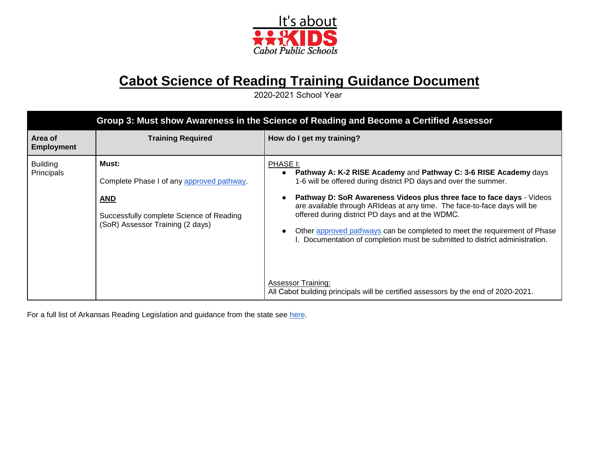

# **Cabot Science of Reading Training Guidance Document**

2020-2021 School Year

| Group 3: Must show Awareness in the Science of Reading and Become a Certified Assessor |                                                                                                                                                  |                                                                                                                                                                                                                                                                                                                                                                                                                                                                                                                                                                                                                                           |  |
|----------------------------------------------------------------------------------------|--------------------------------------------------------------------------------------------------------------------------------------------------|-------------------------------------------------------------------------------------------------------------------------------------------------------------------------------------------------------------------------------------------------------------------------------------------------------------------------------------------------------------------------------------------------------------------------------------------------------------------------------------------------------------------------------------------------------------------------------------------------------------------------------------------|--|
| Area of<br><b>Employment</b>                                                           | <b>Training Required</b>                                                                                                                         | How do I get my training?                                                                                                                                                                                                                                                                                                                                                                                                                                                                                                                                                                                                                 |  |
| <b>Building</b><br>Principals                                                          | Must:<br>Complete Phase I of any approved pathway.<br><b>AND</b><br>Successfully complete Science of Reading<br>(SoR) Assessor Training (2 days) | PHASE I:<br>Pathway A: K-2 RISE Academy and Pathway C: 3-6 RISE Academy days<br>1-6 will be offered during district PD days and over the summer.<br>Pathway D: SoR Awareness Videos plus three face to face days - Videos<br>are available through ARIdeas at any time. The face-to-face days will be<br>offered during district PD days and at the WDMC.<br>Other approved pathways can be completed to meet the requirement of Phase<br>I. Documentation of completion must be submitted to district administration.<br><b>Assessor Training:</b><br>All Cabot building principals will be certified assessors by the end of 2020-2021. |  |

For a full list of Arkansas Reading Legislation and guidance from the state see [here.](https://docs.google.com/document/d/1Mz46JreEVy5jdCfyYLQ2oeO1lt73fPL0uKbLooO1c-4/edit)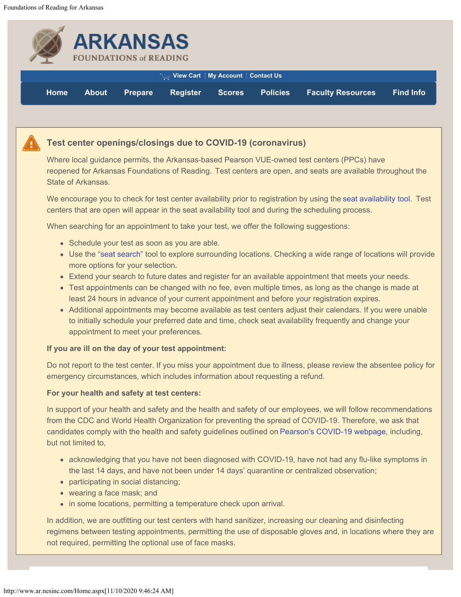<span id="page-3-1"></span><span id="page-3-0"></span>

|             |              | <b>ARKANSAS</b><br><b>FOUNDATIONS of READING</b> |                                                      |               |                 |                          |                  |
|-------------|--------------|--------------------------------------------------|------------------------------------------------------|---------------|-----------------|--------------------------|------------------|
|             |              |                                                  | ा <sub>ख्य</sub> View Cart   My Account   Contact Us |               |                 |                          |                  |
| <b>Home</b> | <b>About</b> | <b>Prepare</b>                                   | <b>Register</b>                                      | <b>Scores</b> | <b>Policies</b> | <b>Faculty Resources</b> | <b>Find Info</b> |



Where local guidance permits, the Arkansas-based Pearson VUE-owned test centers (PPCs) have reopened for Arkansas Foundations of Reading.  Test centers are open, and seats are available throughout the State of Arkansas.

We encourage you to check for test center availability prior to registration by using the [seat availability tool](http://www.pearsonvue.com/NES/sa/). Test centers that are open will appear in the seat availability tool and during the scheduling process.

When searching for an appointment to take your test, we offer the following suggestions:

- Schedule your test as soon as you are able.
- Use the ["seat search](http://www.pearsonvue.com/NES/sa/)" tool to explore surrounding locations. Checking a wide range of locations will provide more options for your selection.
- Extend your search to future dates and register for an available appointment that meets your needs.
- Test appointments can be changed with no fee, even multiple times, as long as the change is made at least 24 hours in advance of your current appointment and before your registration expires.
- Additional appointments may become available as test centers adjust their calendars. If you were unable to initially schedule your preferred date and time, check seat availability frequently and change your appointment to meet your preferences.

#### **If you are ill on the day of your test appointment:**

Do not report to the test center. If you miss your appointment due to illness, please review the absentee policy for emergency circumstances, which includes information about requesting a refund.  

#### **For your health and safety at test centers:**

In support of your health and safety and the health and safety of our employees, we will follow recommendations from the CDC and World Health Organization for preventing the spread of COVID-19. Therefore, we ask that candidates comply with the health and safety guidelines outlined on [Pearson's COVID-19 webpage](https://home.pearsonvue.com/coronavirus-update), including, but not limited to,

- acknowledging that you have not been diagnosed with COVID-19, have not had any flu-like symptoms in the last 14 days, and have not been under 14 days' quarantine or centralized observation;
- participating in social distancing;
- wearing a face mask; and
- in some locations, permitting a temperature check upon arrival.

In addition, we are outfitting our test centers with hand sanitizer, increasing our cleaning and disinfecting regimens between testing appointments, permitting the use of disposable gloves and, in locations where they are not required, permitting the optional use of face masks.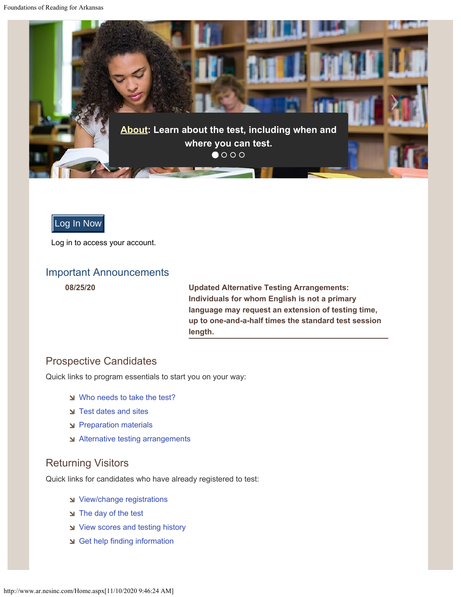<span id="page-4-0"></span>

### Log In Now

Log in to access your account.

#### Important Announcements

**08/25/20 [Updated Alternative Testing Arrangements:](http://www.ar.nesinc.com/PageView.aspx?f=SACBT_RequestingAdditionalTime.html) [Individuals for whom English is not a primary](http://www.ar.nesinc.com/PageView.aspx?f=SACBT_RequestingAdditionalTime.html) [language may request an extension of testing time,](http://www.ar.nesinc.com/PageView.aspx?f=SACBT_RequestingAdditionalTime.html) [up to one-and-a-half times the standard test session](http://www.ar.nesinc.com/PageView.aspx?f=SACBT_RequestingAdditionalTime.html) [length.](http://www.ar.nesinc.com/PageView.aspx?f=SACBT_RequestingAdditionalTime.html)**

#### Prospective Candidates

Quick links to program essentials to start you on your way:

- [Who needs to take the test?](http://www.ar.nesinc.com/PageView.aspx?f=GEN_Tests.html)
- [Test dates and sites](http://www.ar.nesinc.com/PageView.aspx?f=HTML_FRAG/GENRB_TestDatesAndSites.html)
- [Preparation materials](http://www.ar.nesinc.com/PageView.aspx?f=GEN_Prepare.html)
- [Alternative testing arrangements](http://www.ar.nesinc.com/PageView.aspx?f=SACBT_RequestingAlternativeTestingArrangements.html)

#### Returning Visitors

Quick links for candidates who have already registered to test:

- [View/change registrations](http://www.ar.nesinc.com/Redirect.aspx?p=currentreg)
- [The day of the test](http://www.ar.nesinc.com/PageView.aspx?f=SACBT_TheDayOfTheTest.html)
- [View scores and testing history](http://www.ar.nesinc.com/PageView.aspx?f=GEN_GetResults.html)
- [Get help finding information](http://www.ar.nesinc.com/FindInfo.aspx?c=blank)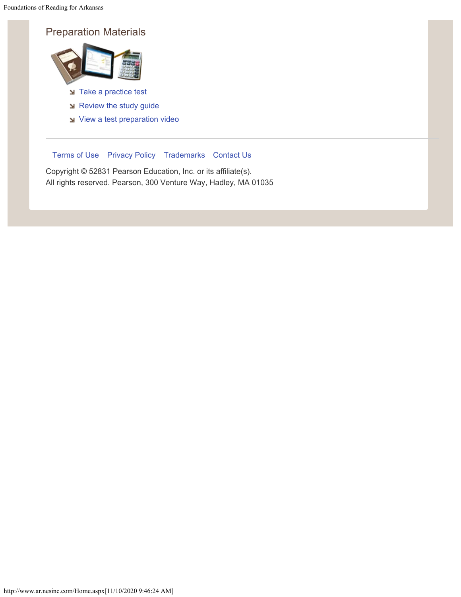Foundations of Reading for Arkansas

## Preparation Materials



- [Take a practice test](http://www.ar.nesinc.com/PageView.aspx?f=GEN_Prepare.html)
- [Review the study guide](http://www.ar.nesinc.com/PageView.aspx?f=HTML_FRAG/SA090_PrepMaterials.html)
- [View a test preparation video](http://www.ar.nesinc.com/PageView.aspx?f=HTML_FRAG/GENRB_PrepVideo.html)

#### [Terms of Use](http://www.ar.nesinc.com/PageView.aspx?f=GEN_TermsOfUse.html) [Privacy Policy](http://www.ar.nesinc.com/PageView.aspx?f=GEN_PrivacyPolicy.html) [Trademarks](http://www.ar.nesinc.com/PageView.aspx?f=GEN_Trademarks.html) [Contact Us](http://www.ar.nesinc.com/Contacts.aspx)

Copyright © 52831 Pearson Education, Inc. or its affiliate(s). All rights reserved. Pearson, 300 Venture Way, Hadley, MA 01035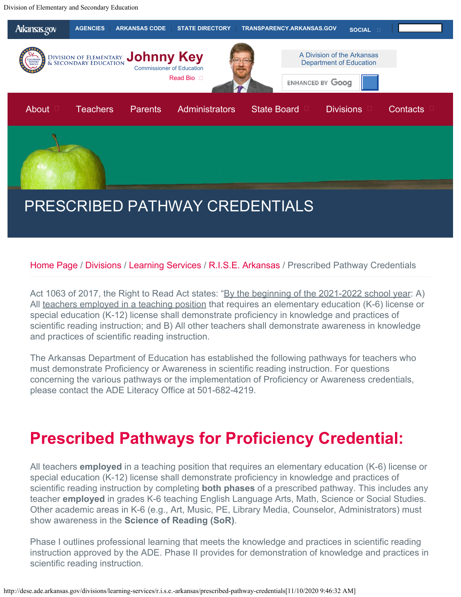<span id="page-6-1"></span><span id="page-6-0"></span>Division of Elementary and Secondary Education



#### [Home Page](http://dese.ade.arkansas.gov/) / [Divisions](http://dese.ade.arkansas.gov/divisions) / [Learning Services](http://dese.ade.arkansas.gov/divisions/learning-services) / [R.I.S.E. Arkansas](http://dese.ade.arkansas.gov/divisions/learning-services/r.i.s.e.-arkansas) / Prescribed Pathway Credentials

Act 1063 of 2017, the Right to Read Act states: "By the beginning of the 2021-2022 school year: A) All teachers employed in a teaching position that requires an elementary education (K-6) license or special education (K-12) license shall demonstrate proficiency in knowledge and practices of scientific reading instruction; and B) All other teachers shall demonstrate awareness in knowledge and practices of scientific reading instruction.

The Arkansas Department of Education has established the following pathways for teachers who must demonstrate Proficiency or Awareness in scientific reading instruction. For questions concerning the various pathways or the implementation of Proficiency or Awareness credentials, please contact the ADE Literacy Office at 501-682-4219.

# **Prescribed Pathways for Proficiency Credential:**

All teachers **employed** in a teaching position that requires an elementary education (K-6) license or special education (K-12) license shall demonstrate proficiency in knowledge and practices of scientific reading instruction by completing **both phases** of a prescribed pathway. This includes any teacher **employed** in grades K-6 teaching English Language Arts, Math, Science or Social Studies. Other academic areas in K-6 (e.g., Art, Music, PE, Library Media, Counselor, Administrators) must show awareness in the **Science of Reading (SoR)**.

Phase I outlines professional learning that meets the knowledge and practices in scientific reading instruction approved by the ADE. Phase II provides for demonstration of knowledge and practices in scientific reading instruction.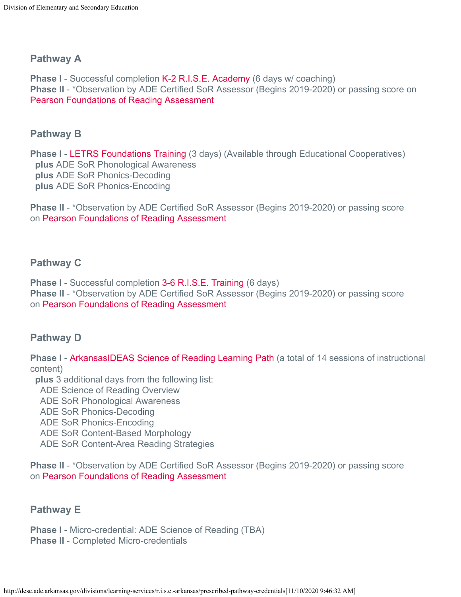### **Pathway A**

**Phase I** - Successful completion [K-2 R.I.S.E. Academy](http://dese.ade.arkansas.gov/divisions/learning-services/r.i.s.e.-arkansas/r.i.s.e.-academy) (6 days w/ coaching) **Phase II** - \*Observation by ADE Certified SoR Assessor (Begins 2019-2020) or passing score on [Pearson Foundations of Reading Assessment](#page-3-1)

#### **Pathway B**

**Phase I - LETRS Foundations Training** (3 days) (Available through Educational Cooperatives)  **plus** ADE SoR Phonological Awareness  **plus** ADE SoR Phonics-Decoding  **plus** ADE SoR Phonics-Encoding

**Phase II** - \*Observation by ADE Certified SoR Assessor (Begins 2019-2020) or passing score on [Pearson Foundations of Reading Assessment](#page-3-1)

### **Pathway C**

**Phase I** - Successful completion [3-6 R.I.S.E. Training](http://dese.ade.arkansas.gov/divisions/learning-services/r.i.s.e.-arkansas/r.i.s.e.-academy) (6 days) **Phase II** - \*Observation by ADE Certified SoR Assessor (Begins 2019-2020) or passing score on [Pearson Foundations of Reading Assessment](#page-3-1)

### **Pathway D**

**Phase I** - [ArkansasIDEAS Science of Reading Learning Path](http://ideas.aetn.org/) (a total of 14 sessions of instructional content)

**plus** 3 additional days from the following list:

ADE Science of Reading Overview

ADE SoR Phonological Awareness

ADE SoR Phonics-Decoding

ADE SoR Phonics-Encoding

ADE SoR Content-Based Morphology

ADE SoR Content-Area Reading Strategies

**Phase II** - \*Observation by ADE Certified SoR Assessor (Begins 2019-2020) or passing score on [Pearson Foundations of Reading Assessment](#page-3-1)

### **Pathway E**

**Phase I** - Micro-credential: ADE Science of Reading (TBA) **Phase II** - Completed Micro-credentials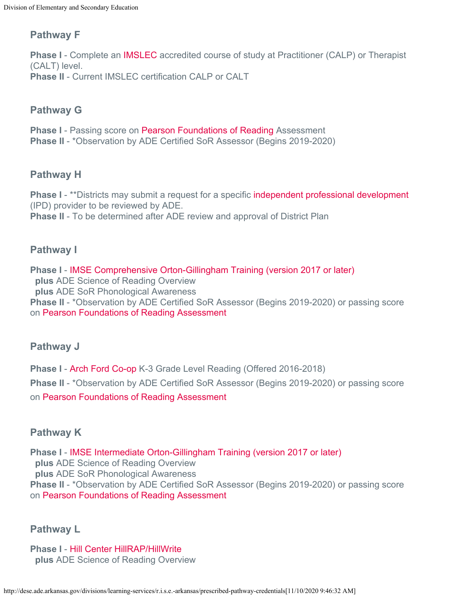## **Pathway F**

**Phase I** - Complete an [IMSLEC](https://www.imslec.org/default.asp) accredited course of study at Practitioner (CALP) or Therapist (CALT) level. **Phase II** - Current IMSLEC certification CALP or CALT

## **Pathway G**

**Phase I** - Passing score on [Pearson Foundations of Reading](https://wsr.pearsonvue.com/arsa/) Assessment **Phase II** - \*Observation by ADE Certified SoR Assessor (Begins 2019-2020)

## **Pathway H**

**Phase I** - \*\*Districts may submit a request for a specific [independent professional development](http://dese.ade.arkansas.gov/public/userfiles/Learning_Services/RISE/IPD_Review_Form.xlsx) (IPD) provider to be reviewed by ADE. **Phase II** - To be determined after ADE review and approval of District Plan

### **Pathway I**

**Phase I** - [IMSE Comprehensive Orton-Gillingham Training \(version 2017 or later\)](https://www.orton-gillingham.com/training/professional-development/)  **plus** ADE Science of Reading Overview  **plus** ADE SoR Phonological Awareness **Phase II** - \*Observation by ADE Certified SoR Assessor (Begins 2019-2020) or passing score on [Pearson Foundations of Reading Assessment](#page-3-1)

### **Pathway J**

**Phase I** - [Arch Ford Co-op](https://www.archford.org/281186_3) K-3 Grade Level Reading (Offered 2016-2018) **Phase II** - \*Observation by ADE Certified SoR Assessor (Begins 2019-2020) or passing score on [Pearson Foundations of Reading Assessment](#page-3-1)

## **Pathway K**

**Phase I** - [IMSE Intermediate Orton-Gillingham Training \(version 2017 or later\)](https://www.orton-gillingham.com/training/professional-development/) **plus** ADE Science of Reading Overview  **plus** ADE SoR Phonological Awareness **Phase II** - \*Observation by ADE Certified SoR Assessor (Begins 2019-2020) or passing score on [Pearson Foundations of Reading Assessment](#page-3-1)

### **Pathway L**

**Phase I** - [Hill Center HillRAP/HillWrite](https://www.hillcenter.org/professionaldevelopmentprograms#.W5_3X-hKiUk) **plus** ADE Science of Reading Overview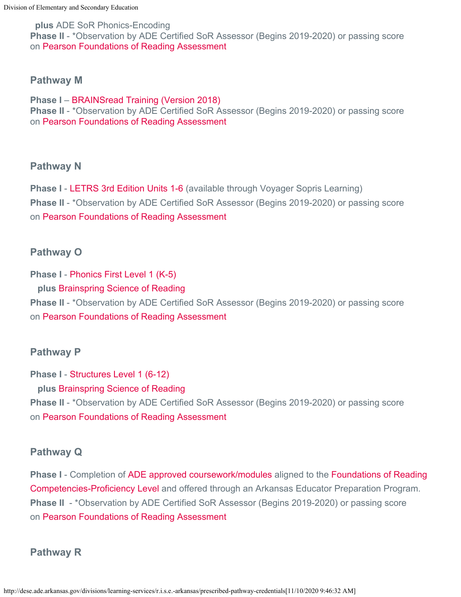**plus** ADE SoR Phonics-Encoding **Phase II** - \*Observation by ADE Certified SoR Assessor (Begins 2019-2020) or passing score on [Pearson Foundations of Reading Assessment](#page-3-1)

#### **Pathway M**

**Phase I** – [BRAINSread Training \(Version 2018\)](http://www.brainsread.com/) **Phase II** - \*Observation by ADE Certified SoR Assessor (Begins 2019-2020) or passing score on [Pearson Foundations of Reading Assessment](#page-3-1)

#### **Pathway N**

**Phase I - LETRS 3rd Edition Units 1-6** (available through Voyager Sopris Learning) **Phase II** - \*Observation by ADE Certified SoR Assessor (Begins 2019-2020) or passing score on [Pearson Foundations of Reading Assessment](#page-3-1)

## **Pathway O**

**Phase I** - [Phonics First Level 1 \(K-5\)](https://brainspring.com/multisensory-training-courses-workshops/) **plus** [Brainspring Science of Reading](https://brainspring.com/multisensory-training-courses-workshops/) **Phase II** - \*Observation by ADE Certified SoR Assessor (Begins 2019-2020) or passing score on [Pearson Foundations of Reading Assessment](#page-3-1)

## **Pathway P**

**Phase I** - [Structures Level 1 \(6-12\)](https://brainspring.com/multisensory-training-courses-workshops/) **plus** [Brainspring Science of Reading](https://brainspring.com/multisensory-training-courses-workshops/) **Phase II** - \*Observation by ADE Certified SoR Assessor (Begins 2019-2020) or passing score on [Pearson Foundations of Reading Assessment](#page-3-1)

## **Pathway Q**

**Phase I** - Completion of [ADE approved coursework/modules](https://drive.google.com/file/d/19Kd3dgtHqd5Lq5LqhzuXEJiBw_RLtEAA/view) aligned to the [Foundations of Reading](http://dese.ade.arkansas.gov/public/userfiles/Educator_Effectiveness/Becoming_a_Teacher_or_School_Leader/AR_Educator_Competencies/Proficiency_Level_SoR_for_Alt_Routes_06_15_18.pdf) [Competencies-Proficiency Level](http://dese.ade.arkansas.gov/public/userfiles/Educator_Effectiveness/Becoming_a_Teacher_or_School_Leader/AR_Educator_Competencies/Proficiency_Level_SoR_for_Alt_Routes_06_15_18.pdf) and offered through an Arkansas Educator Preparation Program. **Phase II** - \*Observation by ADE Certified SoR Assessor (Begins 2019-2020) or passing score on [Pearson Foundations of Reading Assessment](#page-3-1)

## **Pathway R**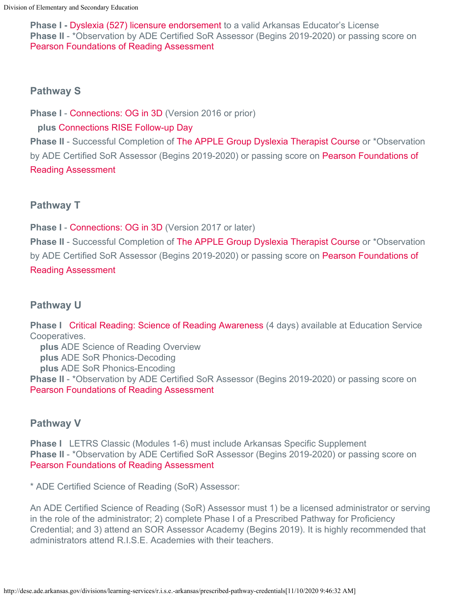**Phase I -** [Dyslexia \(527\) licensure endorsement](https://drive.google.com/file/d/1lX-8bOMjVoOtx9V8zfyhfrpzWWPRjj1A/view) to a valid Arkansas Educator's License **Phase II** - \*Observation by ADE Certified SoR Assessor (Begins 2019-2020) or passing score on [Pearson Foundations of Reading Assessment](#page-3-1)

## **Pathway S**

**Phase I - [Connections: OG in 3D](http://applegroupdyslexia.com/) (Version 2016 or prior)** 

## **plus** [Connections RISE Follow-up Day](http://applegroupdyslexia.com/new-page-4)

**Phase II** - Successful Completion of [The APPLE Group Dyslexia Therapist Course](http://applegroupdyslexia.com/therapist) or \*Observation by ADE Certified SoR Assessor (Begins 2019-2020) or passing score on [Pearson Foundations of](#page-3-1) [Reading Assessment](#page-3-1)

## **Pathway T**

**Phase I** - [Connections: OG in 3D](http://applegroupdyslexia.com/) (Version 2017 or later)

**Phase II** - Successful Completion of [The APPLE Group Dyslexia Therapist Course](http://applegroupdyslexia.com/therapist) or \*Observation by ADE Certified SoR Assessor (Begins 2019-2020) or passing score on [Pearson Foundations of](#page-3-1) [Reading Assessment](#page-3-1)

## **Pathway U**

**Phase I** [Critical Reading: Science of Reading Awareness](https://sites.google.com/starfishnw.org/criticalreadingstarfish/home?authuser=0) (4 days) available at Education Service Cooperatives.  **plus** ADE Science of Reading Overview

 **plus** ADE SoR Phonics-Decoding  **plus** ADE SoR Phonics-Encoding **Phase II** - \*Observation by ADE Certified SoR Assessor (Begins 2019-2020) or passing score on [Pearson Foundations of Reading Assessment](#page-3-1)

## **Pathway V**

**Phase I** LETRS Classic (Modules 1-6) must include Arkansas Specific Supplement **Phase II** - \*Observation by ADE Certified SoR Assessor (Begins 2019-2020) or passing score on [Pearson Foundations of Reading Assessment](#page-3-1)

\* ADE Certified Science of Reading (SoR) Assessor:

An ADE Certified Science of Reading (SoR) Assessor must 1) be a licensed administrator or serving in the role of the administrator; 2) complete Phase I of a Prescribed Pathway for Proficiency Credential; and 3) attend an SOR Assessor Academy (Begins 2019). It is highly recommended that administrators attend R.I.S.E. Academies with their teachers.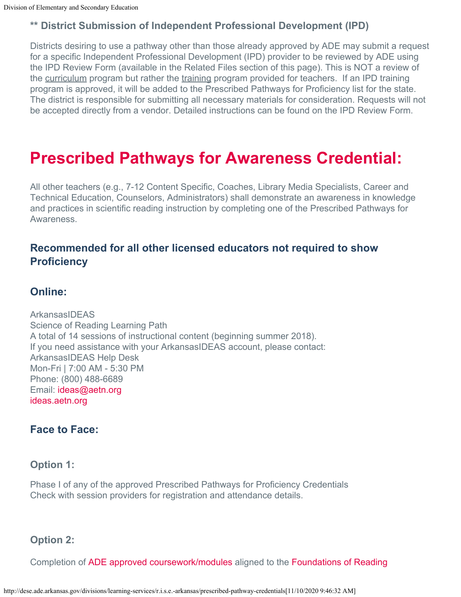## **\*\* District Submission of Independent Professional Development (IPD)**

Districts desiring to use a pathway other than those already approved by ADE may submit a request for a specific Independent Professional Development (IPD) provider to be reviewed by ADE using the IPD Review Form (available in the Related Files section of this page). This is NOT a review of the curriculum program but rather the training program provided for teachers. If an IPD training program is approved, it will be added to the Prescribed Pathways for Proficiency list for the state. The district is responsible for submitting all necessary materials for consideration. Requests will not be accepted directly from a vendor. Detailed instructions can be found on the IPD Review Form.

# **Prescribed Pathways for Awareness Credential:**

All other teachers (e.g., 7-12 Content Specific, Coaches, Library Media Specialists, Career and Technical Education, Counselors, Administrators) shall demonstrate an awareness in knowledge and practices in scientific reading instruction by completing one of the Prescribed Pathways for Awareness.

## **Recommended for all other licensed educators not required to show Proficiency**

## **Online:**

**ArkansasIDEAS** Science of Reading Learning Path A total of 14 sessions of instructional content (beginning summer 2018). If you need assistance with your ArkansasIDEAS account, please contact: ArkansasIDEAS Help Desk Mon-Fri | 7:00 AM - 5:30 PM Phone: (800) 488-6689 Email: [ideas@aetn.org](mailto:ideas@aetn.org) [ideas.aetn.org](http://ideas.aetn.org/)

## **Face to Face:**

#### **Option 1:**

Phase I of any of the approved Prescribed Pathways for Proficiency Credentials Check with session providers for registration and attendance details.

#### **Option 2:**

Completion of [ADE approved coursework/modules](https://drive.google.com/file/d/19Kd3dgtHqd5Lq5LqhzuXEJiBw_RLtEAA/view) aligned to the [Foundations of Reading](http://dese.ade.arkansas.gov/public/userfiles/Educator_Effectiveness/Becoming_a_Teacher_or_School_Leader/AR_Educator_Competencies/Awareness_Level_SoR_002_07_25_18.pdf)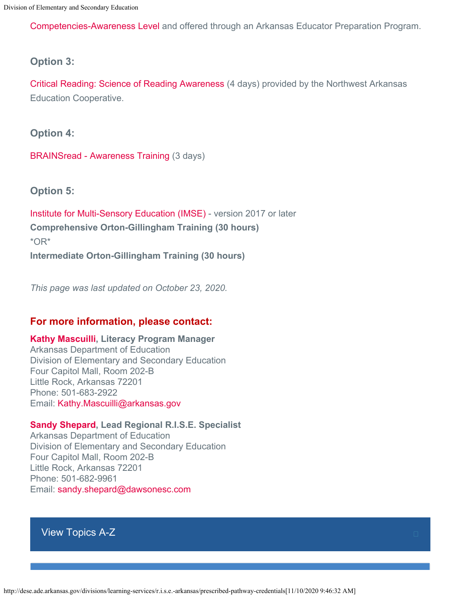[Competencies-Awareness Level](http://dese.ade.arkansas.gov/public/userfiles/Educator_Effectiveness/Becoming_a_Teacher_or_School_Leader/AR_Educator_Competencies/Awareness_Level_SoR_002_07_25_18.pdf) and offered through an Arkansas Educator Preparation Program.

#### **Option 3:**

[Critical Reading: Science of Reading Awareness](https://sites.google.com/starfishnw.org/criticalreadingstarfish/home?authuser=0) (4 days) provided by the Northwest Arkansas Education Cooperative.

**Option 4:**

[BRAINSread - Awareness Training](https://www.brainsread.com/) (3 days)

**Option 5:**

[Institute for Multi-Sensory Education \(IMSE\)](http://www.orton-gillingham.com/training/professional-development/) - version 2017 or later **Comprehensive Orton-Gillingham Training (30 hours)**  \*OR\* **Intermediate Orton-Gillingham Training (30 hours)**

*This page was last updated on October 23, 2020.*

### **For more information, please contact:**

#### **[Kathy Mascuilli](mailto:Kathy.Mascuilli@arkansas.gov), Literacy Program Manager**

Arkansas Department of Education Division of Elementary and Secondary Education Four Capitol Mall, Room 202-B Little Rock, Arkansas 72201 Phone: 501-683-2922 Email: [Kathy.Mascuilli@arkansas.gov](mailto:Kathy.Mascuilli@arkansas.gov)

#### **[Sandy Shepard](mailto:sandy.shepard@dawsonesc.com), Lead Regional R.I.S.E. Specialist**

Arkansas Department of Education Division of Elementary and Secondary Education Four Capitol Mall, Room 202-B Little Rock, Arkansas 72201 Phone: 501-682-9961 Email: [sandy.shepard@dawsonesc.com](mailto:sandy.shepard@dawsonesc.com)

[View Topics A-Z](http://dese.ade.arkansas.gov/topics)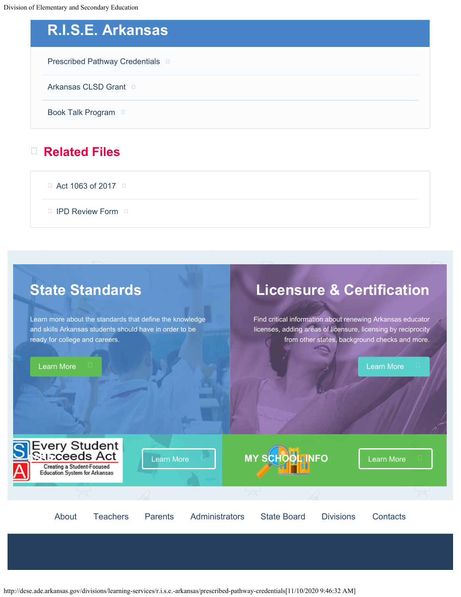Division of Elementary and Secondary Education

# **R.I.S.E. Arkansas**

[Prescribed Pathway Credentials](#page-6-1) **D** 

[Arkansas CLSD Grant](http://dese.ade.arkansas.gov/divisions/learning-services/r.i.s.e.-arkansas/arkansas-clsd-grant)

[Book Talk Program](http://dese.ade.arkansas.gov/divisions/learning-services/r.i.s.e.-arkansas/book-talk-program) D

## **Related Files**

 $\Box$  [Act 1063 of 2017](http://dese.ade.arkansas.gov/public/userfiles/Learning_Services/RISE/Act_1063.pdf)  $\Box$ 

**[IPD Review Form](http://dese.ade.arkansas.gov/public/userfiles/Learning_Services/RISE/IPD_Review_Form.xlsx)**